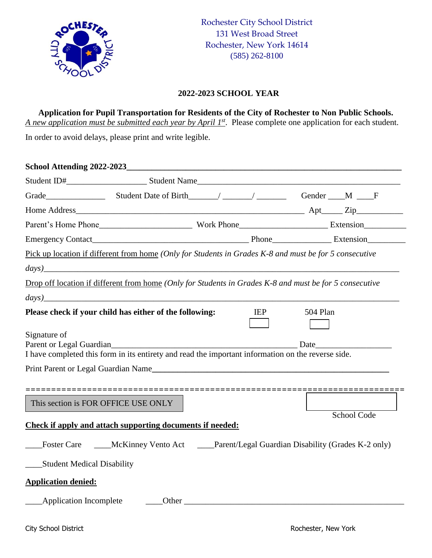

## **2022-2023 SCHOOL YEAR**

**Application for Pupil Transportation for Residents of the City of Rochester to Non Public Schools.** *A new application must be submitted each year by April 1 st* . Please complete one application for each student.

In order to avoid delays, please print and write legible.

|                                     | Grade Manuel Crack Contact Manuel Crack Contact Manuel Crack Crack Crack Crack Crack Crack Crack Crack Crack C                                |  |            |          |             |  |
|-------------------------------------|-----------------------------------------------------------------------------------------------------------------------------------------------|--|------------|----------|-------------|--|
|                                     |                                                                                                                                               |  |            |          |             |  |
|                                     |                                                                                                                                               |  |            |          |             |  |
|                                     |                                                                                                                                               |  |            |          |             |  |
|                                     | Pick up location if different from home (Only for Students in Grades K-8 and must be for 5 consecutive                                        |  |            |          |             |  |
|                                     | $\frac{days)}{2}$                                                                                                                             |  |            |          |             |  |
|                                     | Drop off location if different from home (Only for Students in Grades K-8 and must be for 5 consecutive                                       |  |            |          |             |  |
|                                     | $\log$ )                                                                                                                                      |  |            |          |             |  |
|                                     | Please check if your child has either of the following:                                                                                       |  | <b>IEP</b> | 504 Plan |             |  |
| Signature of                        |                                                                                                                                               |  |            |          |             |  |
|                                     | Parent or Legal Guardian Date Date Date<br>I have completed this form in its entirety and read the important information on the reverse side. |  |            |          |             |  |
|                                     | Print Parent or Legal Guardian Name                                                                                                           |  |            |          |             |  |
|                                     |                                                                                                                                               |  |            |          |             |  |
|                                     |                                                                                                                                               |  |            |          |             |  |
| This section is FOR OFFICE USE ONLY |                                                                                                                                               |  |            |          |             |  |
|                                     | Check if apply and attach supporting documents if needed:                                                                                     |  |            |          | School Code |  |
|                                     |                                                                                                                                               |  |            |          |             |  |
|                                     | Foster Care _____McKinney Vento Act _____Parent/Legal Guardian Disability (Grades K-2 only)                                                   |  |            |          |             |  |
| <b>Student Medical Disability</b>   |                                                                                                                                               |  |            |          |             |  |
| <b>Application denied:</b>          |                                                                                                                                               |  |            |          |             |  |
| <b>Application Incomplete</b>       |                                                                                                                                               |  | Other      |          |             |  |